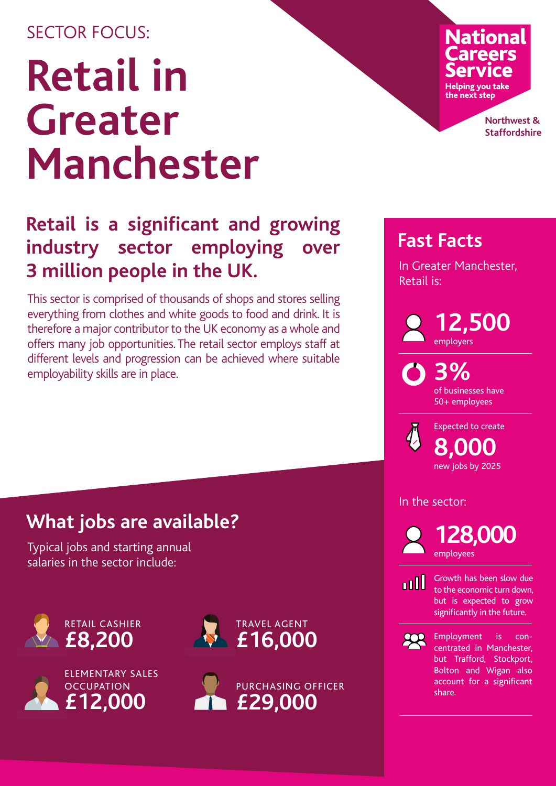## SECTOR FOCUS:

## **Retail in Greater Manchester**

## **Fast Retail is a significant and growing<br>
<b>Fast Facts Fast Facts Fast Facts industry sector employing 3 million people in the UK.**

This sector is comprised of thousands of shops and stores selling everything from clothes and white goods to food and drink. It is therefore a major contributor to the UK economy as a whole and offers many job opportunities. The retail sector employs staff at different levels and progression can be achieved where suitable employability skills are in place.

## **What jobs are available?**

Typical jobs and starting annual salaries in the sector include:









# **National**

**Helping you take** the next step

> **Northwest & Staffordshire**

In Greater Manchester, Retail is:

> **12,500** employers

**3%** of businesses have 50+ employees

**8,000** new jobs by 2025 Expected to create

In the sector:

**128,000** employees

n Ill

Growth has been slow due to the economic turn down, but is expected to grow significantly in the future.

 $\mathbb{R}$ 

Employment is concentrated in Manchester, but Trafford, Stockport, Bolton and Wigan also account for a significant share.